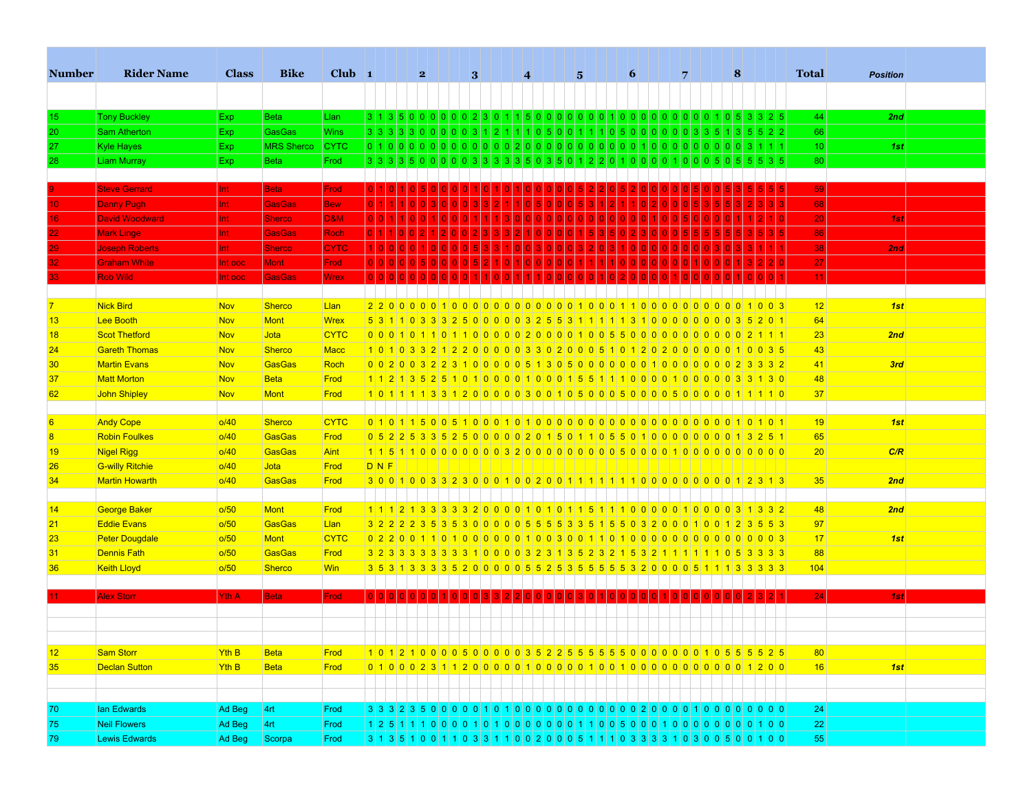| <b>Tony Buckley</b><br><b>Beta</b><br>Llan<br>44<br>2nd<br>Exp.<br>15<br>GasGas<br><b>Wins</b><br>$3 3 3 3 3 0 0 0 0 0 3 1 2 1 1 1 0 5 0 0 $<br>66<br><b>Sam Atherton</b><br>1110500000003351<br>5 5 2 2<br>Exp<br>20<br><b>MRS Sherco</b><br><b>CYTC</b><br>01100000000000000000000000000000000<br>10 <sup>1</sup><br><b>Kyle Hayes</b><br>Exp.<br>1000000<br>0 0 0<br>$\vert$ 3<br>1st<br>27<br><b>Liam Murray</b><br><b>Beta</b><br>Frod<br>80<br><b>Exp</b><br>3 3 3 3 5 0 0 0 <br>$5 \ 5 \ 5 \ 3 \ 5$<br>0 0 3 3 3 3 3 1<br>3 5 0 3 5 0<br>1 2 2 <br>0 0 0 <br>1 0 0 <br>015101<br>28<br>$\Omega$<br>1101<br><b>Steve Gerrard</b><br><b>Beta</b><br>59<br>Int<br>Frod<br>68<br>Danny Pugh<br><b>GasGas</b><br><b>Bew</b><br>Int<br>10<br>D&M<br>20<br><b>David Woodward</b><br>Int<br><b>Sherco</b><br>1st<br>16<br>86<br><b>Mark Linge</b><br><b>GasGas</b><br><b>Roch</b><br><b>Int</b><br>22<br><b>CYTC</b><br>38<br><b>Joseph Roberts</b><br><b>Int</b><br><b>Sherco</b><br>2nd<br>29<br>27<br><b>Graham White</b><br>Mont<br>Int ooc<br><b>Frod</b><br><b>Rob Wild</b><br><b>GasGas</b><br><b>Wrex</b><br>11<br>Int ooc<br><b>Nick Bird</b><br>12<br>Nov<br><b>Sherco</b><br>Llan<br>2200000101000000000000001000110<br>1003<br>1st<br>$\overline{7}$<br>0 0 0 <br> 0 0 0 <br> 0 0 0 <br>Mont<br>64<br>Lee Booth<br><b>Nov</b><br><b>Wrex</b><br>13<br>5 3 1 1 0 3 3 3 2 5 0 0 0 0 0 3 2 5 5 3 1 1 1 1 1 3 1 0 0 0 0 0 0 0 0 3 5 2 0 1<br>Nov<br>Jota<br><b>CYTC</b><br> 23 <br>2nd<br>18<br><b>Scot Thetford</b><br><b>Gareth Thomas</b><br><b>Sherco</b><br><b>Macc</b><br>43<br>24<br>Nov<br>1010321200000330200051012020000010035<br>GasGas<br>Roch<br>41<br>3rd<br><b>Martin Evans</b><br>Nov<br>30 <sup>°</sup><br>0 0 2 0 0 3 2 2 3 1 0 0 0 0 0 5 1 3 0 5 0 0 0 0 0 0 0 1 0 0 0 0 0 0 0 0 2 3 3 3 2<br><b>Matt Morton</b><br>48<br>37<br><b>Nov</b><br><b>Beta</b><br>Frod<br>112135251010000100155111000001000010001<br>37<br>62<br>John Shipley<br><b>Nov</b><br><b>Mont</b><br>Frod<br>1011113312000030010500050005000000111110<br>Andy Cope<br>6<br>0/40<br><b>Sherco</b><br><b>CYTC</b><br>0010101<br>19<br>1st<br>GasGas<br>65<br><b>Robin Foulkes</b><br>0/40<br>Frod<br>0 5 2 2 5 3 3 5 2 5 0 0 0 0 0 2 0 1 5 0 1 1 0 5 5 0 1 0 0 0 0 0 0 0 0 1 3 2 5 1<br>$\overline{\mathbf{8}}$<br>GasGas<br>C/R<br>Nigel Rigg<br>o/40<br><b>Aint</b><br>20<br>19<br>$D$ <sub>N</sub> $F$<br>o/40<br>Frod<br><b>G-willy Ritchie</b><br>Jota<br>26<br>35<br><b>Martin Howarth</b><br>o/40<br>GasGas<br>Frod<br>2nd<br>34<br>George Baker<br>48<br><b>Mont</b><br>Frod<br>2nd<br>14<br>o/50<br><b>Eddie Evans</b><br>GasGas<br>o/50<br>Llan<br>97<br>21<br>3 2 2 2 2 3 5 3 6 3 0 0 0 0 0 5 5 5 5 3 3 5 1 5 5 0 3 2 0 0 0 1 0 0 1 2 3 5 5 3<br>17<br>o/50<br><b>Mont</b><br><b>CYTC</b><br>23<br><b>Peter Dougdale</b><br>1st<br><b>Dennis Fath</b><br>o/50<br>GasGas<br>Frod<br>88<br>31<br>o/50<br><b>Win</b><br>104<br>36<br><b>Keith Lloyd</b><br><b>Sherco</b><br>3 5 3 1 3 3 3 3 4 5 2 0 0 0 0 0 5 5 6 2 5 3 5 5 5 5 6 7 8 7 0 0 0 5 1 1 1 3 3 3 3 3<br><b>Alex Storr</b><br>Yth A<br><b>Beta</b><br>Frod<br>24<br>1st<br>12<br>Sam Storr<br>Yth B<br>101210000500000352255555000000010555525<br>80 <sup>°</sup><br><b>Beta</b><br>Frod<br>0 1 0 0 0 2 3 1 1 2 0 0 0 0 1 0 0 0 0 0 1 0 0 0 1 0 0 1 0 0 1 0 0 0 0 0 0 0 0 0 0 0 0 0 0 0 1 2 0 0<br>35<br>Declan Sutton<br>Yth B<br><b>Beta</b><br>Frod<br> 16 <br>1st<br>lan Edwards<br> 4rt <br>24<br>70<br>Ad Beg<br>Frod<br><b>Neil Flowers</b><br>4rt<br>75<br>Ad Beg<br>Frod<br>22 | <b>Number</b> | <b>Rider Name</b> | <b>Class</b> | <b>Bike</b> | $Club$ 1 |  |  | 2 <sup>1</sup> |  | 3 |  | $\overline{4}$ |  | 5 |  | 6 |  | $\overline{7}$ |  | 8 |  | <b>Total</b> | <b>Position</b> |  |
|-------------------------------------------------------------------------------------------------------------------------------------------------------------------------------------------------------------------------------------------------------------------------------------------------------------------------------------------------------------------------------------------------------------------------------------------------------------------------------------------------------------------------------------------------------------------------------------------------------------------------------------------------------------------------------------------------------------------------------------------------------------------------------------------------------------------------------------------------------------------------------------------------------------------------------------------------------------------------------------------------------------------------------------------------------------------------------------------------------------------------------------------------------------------------------------------------------------------------------------------------------------------------------------------------------------------------------------------------------------------------------------------------------------------------------------------------------------------------------------------------------------------------------------------------------------------------------------------------------------------------------------------------------------------------------------------------------------------------------------------------------------------------------------------------------------------------------------------------------------------------------------------------------------------------------------------------------------------------------------------------------------------------------------------------------------------------------------------------------------------------------------------------------------------------------------------------------------------------------------------------------------------------------------------------------------------------------------------------------------------------------------------------------------------------------------------------------------------------------------------------------------------------------------------------------------------------------------------------------------------------------------------------------------------------------------------------------------------------------------------------------------------------------------------------------------------------------------------------------------------------------------------------------------------------------------------------------------------------------------------------------------------------------------------------------------------------------------------------------------------------------------------------------------------------------------------------------------------------------------------------------------------------------------------------------------------------------------------------------------------------------------------------------------------------------------------------------------------------------------------------------------------------------------------------------|---------------|-------------------|--------------|-------------|----------|--|--|----------------|--|---|--|----------------|--|---|--|---|--|----------------|--|---|--|--------------|-----------------|--|
|                                                                                                                                                                                                                                                                                                                                                                                                                                                                                                                                                                                                                                                                                                                                                                                                                                                                                                                                                                                                                                                                                                                                                                                                                                                                                                                                                                                                                                                                                                                                                                                                                                                                                                                                                                                                                                                                                                                                                                                                                                                                                                                                                                                                                                                                                                                                                                                                                                                                                                                                                                                                                                                                                                                                                                                                                                                                                                                                                                                                                                                                                                                                                                                                                                                                                                                                                                                                                                                                                                                                                       |               |                   |              |             |          |  |  |                |  |   |  |                |  |   |  |   |  |                |  |   |  |              |                 |  |
|                                                                                                                                                                                                                                                                                                                                                                                                                                                                                                                                                                                                                                                                                                                                                                                                                                                                                                                                                                                                                                                                                                                                                                                                                                                                                                                                                                                                                                                                                                                                                                                                                                                                                                                                                                                                                                                                                                                                                                                                                                                                                                                                                                                                                                                                                                                                                                                                                                                                                                                                                                                                                                                                                                                                                                                                                                                                                                                                                                                                                                                                                                                                                                                                                                                                                                                                                                                                                                                                                                                                                       |               |                   |              |             |          |  |  |                |  |   |  |                |  |   |  |   |  |                |  |   |  |              |                 |  |
|                                                                                                                                                                                                                                                                                                                                                                                                                                                                                                                                                                                                                                                                                                                                                                                                                                                                                                                                                                                                                                                                                                                                                                                                                                                                                                                                                                                                                                                                                                                                                                                                                                                                                                                                                                                                                                                                                                                                                                                                                                                                                                                                                                                                                                                                                                                                                                                                                                                                                                                                                                                                                                                                                                                                                                                                                                                                                                                                                                                                                                                                                                                                                                                                                                                                                                                                                                                                                                                                                                                                                       |               |                   |              |             |          |  |  |                |  |   |  |                |  |   |  |   |  |                |  |   |  |              |                 |  |
|                                                                                                                                                                                                                                                                                                                                                                                                                                                                                                                                                                                                                                                                                                                                                                                                                                                                                                                                                                                                                                                                                                                                                                                                                                                                                                                                                                                                                                                                                                                                                                                                                                                                                                                                                                                                                                                                                                                                                                                                                                                                                                                                                                                                                                                                                                                                                                                                                                                                                                                                                                                                                                                                                                                                                                                                                                                                                                                                                                                                                                                                                                                                                                                                                                                                                                                                                                                                                                                                                                                                                       |               |                   |              |             |          |  |  |                |  |   |  |                |  |   |  |   |  |                |  |   |  |              |                 |  |
|                                                                                                                                                                                                                                                                                                                                                                                                                                                                                                                                                                                                                                                                                                                                                                                                                                                                                                                                                                                                                                                                                                                                                                                                                                                                                                                                                                                                                                                                                                                                                                                                                                                                                                                                                                                                                                                                                                                                                                                                                                                                                                                                                                                                                                                                                                                                                                                                                                                                                                                                                                                                                                                                                                                                                                                                                                                                                                                                                                                                                                                                                                                                                                                                                                                                                                                                                                                                                                                                                                                                                       |               |                   |              |             |          |  |  |                |  |   |  |                |  |   |  |   |  |                |  |   |  |              |                 |  |
|                                                                                                                                                                                                                                                                                                                                                                                                                                                                                                                                                                                                                                                                                                                                                                                                                                                                                                                                                                                                                                                                                                                                                                                                                                                                                                                                                                                                                                                                                                                                                                                                                                                                                                                                                                                                                                                                                                                                                                                                                                                                                                                                                                                                                                                                                                                                                                                                                                                                                                                                                                                                                                                                                                                                                                                                                                                                                                                                                                                                                                                                                                                                                                                                                                                                                                                                                                                                                                                                                                                                                       |               |                   |              |             |          |  |  |                |  |   |  |                |  |   |  |   |  |                |  |   |  |              |                 |  |
|                                                                                                                                                                                                                                                                                                                                                                                                                                                                                                                                                                                                                                                                                                                                                                                                                                                                                                                                                                                                                                                                                                                                                                                                                                                                                                                                                                                                                                                                                                                                                                                                                                                                                                                                                                                                                                                                                                                                                                                                                                                                                                                                                                                                                                                                                                                                                                                                                                                                                                                                                                                                                                                                                                                                                                                                                                                                                                                                                                                                                                                                                                                                                                                                                                                                                                                                                                                                                                                                                                                                                       |               |                   |              |             |          |  |  |                |  |   |  |                |  |   |  |   |  |                |  |   |  |              |                 |  |
|                                                                                                                                                                                                                                                                                                                                                                                                                                                                                                                                                                                                                                                                                                                                                                                                                                                                                                                                                                                                                                                                                                                                                                                                                                                                                                                                                                                                                                                                                                                                                                                                                                                                                                                                                                                                                                                                                                                                                                                                                                                                                                                                                                                                                                                                                                                                                                                                                                                                                                                                                                                                                                                                                                                                                                                                                                                                                                                                                                                                                                                                                                                                                                                                                                                                                                                                                                                                                                                                                                                                                       |               |                   |              |             |          |  |  |                |  |   |  |                |  |   |  |   |  |                |  |   |  |              |                 |  |
|                                                                                                                                                                                                                                                                                                                                                                                                                                                                                                                                                                                                                                                                                                                                                                                                                                                                                                                                                                                                                                                                                                                                                                                                                                                                                                                                                                                                                                                                                                                                                                                                                                                                                                                                                                                                                                                                                                                                                                                                                                                                                                                                                                                                                                                                                                                                                                                                                                                                                                                                                                                                                                                                                                                                                                                                                                                                                                                                                                                                                                                                                                                                                                                                                                                                                                                                                                                                                                                                                                                                                       |               |                   |              |             |          |  |  |                |  |   |  |                |  |   |  |   |  |                |  |   |  |              |                 |  |
|                                                                                                                                                                                                                                                                                                                                                                                                                                                                                                                                                                                                                                                                                                                                                                                                                                                                                                                                                                                                                                                                                                                                                                                                                                                                                                                                                                                                                                                                                                                                                                                                                                                                                                                                                                                                                                                                                                                                                                                                                                                                                                                                                                                                                                                                                                                                                                                                                                                                                                                                                                                                                                                                                                                                                                                                                                                                                                                                                                                                                                                                                                                                                                                                                                                                                                                                                                                                                                                                                                                                                       |               |                   |              |             |          |  |  |                |  |   |  |                |  |   |  |   |  |                |  |   |  |              |                 |  |
|                                                                                                                                                                                                                                                                                                                                                                                                                                                                                                                                                                                                                                                                                                                                                                                                                                                                                                                                                                                                                                                                                                                                                                                                                                                                                                                                                                                                                                                                                                                                                                                                                                                                                                                                                                                                                                                                                                                                                                                                                                                                                                                                                                                                                                                                                                                                                                                                                                                                                                                                                                                                                                                                                                                                                                                                                                                                                                                                                                                                                                                                                                                                                                                                                                                                                                                                                                                                                                                                                                                                                       |               |                   |              |             |          |  |  |                |  |   |  |                |  |   |  |   |  |                |  |   |  |              |                 |  |
|                                                                                                                                                                                                                                                                                                                                                                                                                                                                                                                                                                                                                                                                                                                                                                                                                                                                                                                                                                                                                                                                                                                                                                                                                                                                                                                                                                                                                                                                                                                                                                                                                                                                                                                                                                                                                                                                                                                                                                                                                                                                                                                                                                                                                                                                                                                                                                                                                                                                                                                                                                                                                                                                                                                                                                                                                                                                                                                                                                                                                                                                                                                                                                                                                                                                                                                                                                                                                                                                                                                                                       |               |                   |              |             |          |  |  |                |  |   |  |                |  |   |  |   |  |                |  |   |  |              |                 |  |
|                                                                                                                                                                                                                                                                                                                                                                                                                                                                                                                                                                                                                                                                                                                                                                                                                                                                                                                                                                                                                                                                                                                                                                                                                                                                                                                                                                                                                                                                                                                                                                                                                                                                                                                                                                                                                                                                                                                                                                                                                                                                                                                                                                                                                                                                                                                                                                                                                                                                                                                                                                                                                                                                                                                                                                                                                                                                                                                                                                                                                                                                                                                                                                                                                                                                                                                                                                                                                                                                                                                                                       |               |                   |              |             |          |  |  |                |  |   |  |                |  |   |  |   |  |                |  |   |  |              |                 |  |
|                                                                                                                                                                                                                                                                                                                                                                                                                                                                                                                                                                                                                                                                                                                                                                                                                                                                                                                                                                                                                                                                                                                                                                                                                                                                                                                                                                                                                                                                                                                                                                                                                                                                                                                                                                                                                                                                                                                                                                                                                                                                                                                                                                                                                                                                                                                                                                                                                                                                                                                                                                                                                                                                                                                                                                                                                                                                                                                                                                                                                                                                                                                                                                                                                                                                                                                                                                                                                                                                                                                                                       |               |                   |              |             |          |  |  |                |  |   |  |                |  |   |  |   |  |                |  |   |  |              |                 |  |
|                                                                                                                                                                                                                                                                                                                                                                                                                                                                                                                                                                                                                                                                                                                                                                                                                                                                                                                                                                                                                                                                                                                                                                                                                                                                                                                                                                                                                                                                                                                                                                                                                                                                                                                                                                                                                                                                                                                                                                                                                                                                                                                                                                                                                                                                                                                                                                                                                                                                                                                                                                                                                                                                                                                                                                                                                                                                                                                                                                                                                                                                                                                                                                                                                                                                                                                                                                                                                                                                                                                                                       |               |                   |              |             |          |  |  |                |  |   |  |                |  |   |  |   |  |                |  |   |  |              |                 |  |
|                                                                                                                                                                                                                                                                                                                                                                                                                                                                                                                                                                                                                                                                                                                                                                                                                                                                                                                                                                                                                                                                                                                                                                                                                                                                                                                                                                                                                                                                                                                                                                                                                                                                                                                                                                                                                                                                                                                                                                                                                                                                                                                                                                                                                                                                                                                                                                                                                                                                                                                                                                                                                                                                                                                                                                                                                                                                                                                                                                                                                                                                                                                                                                                                                                                                                                                                                                                                                                                                                                                                                       |               |                   |              |             |          |  |  |                |  |   |  |                |  |   |  |   |  |                |  |   |  |              |                 |  |
|                                                                                                                                                                                                                                                                                                                                                                                                                                                                                                                                                                                                                                                                                                                                                                                                                                                                                                                                                                                                                                                                                                                                                                                                                                                                                                                                                                                                                                                                                                                                                                                                                                                                                                                                                                                                                                                                                                                                                                                                                                                                                                                                                                                                                                                                                                                                                                                                                                                                                                                                                                                                                                                                                                                                                                                                                                                                                                                                                                                                                                                                                                                                                                                                                                                                                                                                                                                                                                                                                                                                                       |               |                   |              |             |          |  |  |                |  |   |  |                |  |   |  |   |  |                |  |   |  |              |                 |  |
|                                                                                                                                                                                                                                                                                                                                                                                                                                                                                                                                                                                                                                                                                                                                                                                                                                                                                                                                                                                                                                                                                                                                                                                                                                                                                                                                                                                                                                                                                                                                                                                                                                                                                                                                                                                                                                                                                                                                                                                                                                                                                                                                                                                                                                                                                                                                                                                                                                                                                                                                                                                                                                                                                                                                                                                                                                                                                                                                                                                                                                                                                                                                                                                                                                                                                                                                                                                                                                                                                                                                                       |               |                   |              |             |          |  |  |                |  |   |  |                |  |   |  |   |  |                |  |   |  |              |                 |  |
|                                                                                                                                                                                                                                                                                                                                                                                                                                                                                                                                                                                                                                                                                                                                                                                                                                                                                                                                                                                                                                                                                                                                                                                                                                                                                                                                                                                                                                                                                                                                                                                                                                                                                                                                                                                                                                                                                                                                                                                                                                                                                                                                                                                                                                                                                                                                                                                                                                                                                                                                                                                                                                                                                                                                                                                                                                                                                                                                                                                                                                                                                                                                                                                                                                                                                                                                                                                                                                                                                                                                                       |               |                   |              |             |          |  |  |                |  |   |  |                |  |   |  |   |  |                |  |   |  |              |                 |  |
|                                                                                                                                                                                                                                                                                                                                                                                                                                                                                                                                                                                                                                                                                                                                                                                                                                                                                                                                                                                                                                                                                                                                                                                                                                                                                                                                                                                                                                                                                                                                                                                                                                                                                                                                                                                                                                                                                                                                                                                                                                                                                                                                                                                                                                                                                                                                                                                                                                                                                                                                                                                                                                                                                                                                                                                                                                                                                                                                                                                                                                                                                                                                                                                                                                                                                                                                                                                                                                                                                                                                                       |               |                   |              |             |          |  |  |                |  |   |  |                |  |   |  |   |  |                |  |   |  |              |                 |  |
|                                                                                                                                                                                                                                                                                                                                                                                                                                                                                                                                                                                                                                                                                                                                                                                                                                                                                                                                                                                                                                                                                                                                                                                                                                                                                                                                                                                                                                                                                                                                                                                                                                                                                                                                                                                                                                                                                                                                                                                                                                                                                                                                                                                                                                                                                                                                                                                                                                                                                                                                                                                                                                                                                                                                                                                                                                                                                                                                                                                                                                                                                                                                                                                                                                                                                                                                                                                                                                                                                                                                                       |               |                   |              |             |          |  |  |                |  |   |  |                |  |   |  |   |  |                |  |   |  |              |                 |  |
|                                                                                                                                                                                                                                                                                                                                                                                                                                                                                                                                                                                                                                                                                                                                                                                                                                                                                                                                                                                                                                                                                                                                                                                                                                                                                                                                                                                                                                                                                                                                                                                                                                                                                                                                                                                                                                                                                                                                                                                                                                                                                                                                                                                                                                                                                                                                                                                                                                                                                                                                                                                                                                                                                                                                                                                                                                                                                                                                                                                                                                                                                                                                                                                                                                                                                                                                                                                                                                                                                                                                                       |               |                   |              |             |          |  |  |                |  |   |  |                |  |   |  |   |  |                |  |   |  |              |                 |  |
|                                                                                                                                                                                                                                                                                                                                                                                                                                                                                                                                                                                                                                                                                                                                                                                                                                                                                                                                                                                                                                                                                                                                                                                                                                                                                                                                                                                                                                                                                                                                                                                                                                                                                                                                                                                                                                                                                                                                                                                                                                                                                                                                                                                                                                                                                                                                                                                                                                                                                                                                                                                                                                                                                                                                                                                                                                                                                                                                                                                                                                                                                                                                                                                                                                                                                                                                                                                                                                                                                                                                                       |               |                   |              |             |          |  |  |                |  |   |  |                |  |   |  |   |  |                |  |   |  |              |                 |  |
|                                                                                                                                                                                                                                                                                                                                                                                                                                                                                                                                                                                                                                                                                                                                                                                                                                                                                                                                                                                                                                                                                                                                                                                                                                                                                                                                                                                                                                                                                                                                                                                                                                                                                                                                                                                                                                                                                                                                                                                                                                                                                                                                                                                                                                                                                                                                                                                                                                                                                                                                                                                                                                                                                                                                                                                                                                                                                                                                                                                                                                                                                                                                                                                                                                                                                                                                                                                                                                                                                                                                                       |               |                   |              |             |          |  |  |                |  |   |  |                |  |   |  |   |  |                |  |   |  |              |                 |  |
|                                                                                                                                                                                                                                                                                                                                                                                                                                                                                                                                                                                                                                                                                                                                                                                                                                                                                                                                                                                                                                                                                                                                                                                                                                                                                                                                                                                                                                                                                                                                                                                                                                                                                                                                                                                                                                                                                                                                                                                                                                                                                                                                                                                                                                                                                                                                                                                                                                                                                                                                                                                                                                                                                                                                                                                                                                                                                                                                                                                                                                                                                                                                                                                                                                                                                                                                                                                                                                                                                                                                                       |               |                   |              |             |          |  |  |                |  |   |  |                |  |   |  |   |  |                |  |   |  |              |                 |  |
|                                                                                                                                                                                                                                                                                                                                                                                                                                                                                                                                                                                                                                                                                                                                                                                                                                                                                                                                                                                                                                                                                                                                                                                                                                                                                                                                                                                                                                                                                                                                                                                                                                                                                                                                                                                                                                                                                                                                                                                                                                                                                                                                                                                                                                                                                                                                                                                                                                                                                                                                                                                                                                                                                                                                                                                                                                                                                                                                                                                                                                                                                                                                                                                                                                                                                                                                                                                                                                                                                                                                                       |               |                   |              |             |          |  |  |                |  |   |  |                |  |   |  |   |  |                |  |   |  |              |                 |  |
|                                                                                                                                                                                                                                                                                                                                                                                                                                                                                                                                                                                                                                                                                                                                                                                                                                                                                                                                                                                                                                                                                                                                                                                                                                                                                                                                                                                                                                                                                                                                                                                                                                                                                                                                                                                                                                                                                                                                                                                                                                                                                                                                                                                                                                                                                                                                                                                                                                                                                                                                                                                                                                                                                                                                                                                                                                                                                                                                                                                                                                                                                                                                                                                                                                                                                                                                                                                                                                                                                                                                                       |               |                   |              |             |          |  |  |                |  |   |  |                |  |   |  |   |  |                |  |   |  |              |                 |  |
|                                                                                                                                                                                                                                                                                                                                                                                                                                                                                                                                                                                                                                                                                                                                                                                                                                                                                                                                                                                                                                                                                                                                                                                                                                                                                                                                                                                                                                                                                                                                                                                                                                                                                                                                                                                                                                                                                                                                                                                                                                                                                                                                                                                                                                                                                                                                                                                                                                                                                                                                                                                                                                                                                                                                                                                                                                                                                                                                                                                                                                                                                                                                                                                                                                                                                                                                                                                                                                                                                                                                                       |               |                   |              |             |          |  |  |                |  |   |  |                |  |   |  |   |  |                |  |   |  |              |                 |  |
|                                                                                                                                                                                                                                                                                                                                                                                                                                                                                                                                                                                                                                                                                                                                                                                                                                                                                                                                                                                                                                                                                                                                                                                                                                                                                                                                                                                                                                                                                                                                                                                                                                                                                                                                                                                                                                                                                                                                                                                                                                                                                                                                                                                                                                                                                                                                                                                                                                                                                                                                                                                                                                                                                                                                                                                                                                                                                                                                                                                                                                                                                                                                                                                                                                                                                                                                                                                                                                                                                                                                                       |               |                   |              |             |          |  |  |                |  |   |  |                |  |   |  |   |  |                |  |   |  |              |                 |  |
|                                                                                                                                                                                                                                                                                                                                                                                                                                                                                                                                                                                                                                                                                                                                                                                                                                                                                                                                                                                                                                                                                                                                                                                                                                                                                                                                                                                                                                                                                                                                                                                                                                                                                                                                                                                                                                                                                                                                                                                                                                                                                                                                                                                                                                                                                                                                                                                                                                                                                                                                                                                                                                                                                                                                                                                                                                                                                                                                                                                                                                                                                                                                                                                                                                                                                                                                                                                                                                                                                                                                                       |               |                   |              |             |          |  |  |                |  |   |  |                |  |   |  |   |  |                |  |   |  |              |                 |  |
|                                                                                                                                                                                                                                                                                                                                                                                                                                                                                                                                                                                                                                                                                                                                                                                                                                                                                                                                                                                                                                                                                                                                                                                                                                                                                                                                                                                                                                                                                                                                                                                                                                                                                                                                                                                                                                                                                                                                                                                                                                                                                                                                                                                                                                                                                                                                                                                                                                                                                                                                                                                                                                                                                                                                                                                                                                                                                                                                                                                                                                                                                                                                                                                                                                                                                                                                                                                                                                                                                                                                                       |               |                   |              |             |          |  |  |                |  |   |  |                |  |   |  |   |  |                |  |   |  |              |                 |  |
|                                                                                                                                                                                                                                                                                                                                                                                                                                                                                                                                                                                                                                                                                                                                                                                                                                                                                                                                                                                                                                                                                                                                                                                                                                                                                                                                                                                                                                                                                                                                                                                                                                                                                                                                                                                                                                                                                                                                                                                                                                                                                                                                                                                                                                                                                                                                                                                                                                                                                                                                                                                                                                                                                                                                                                                                                                                                                                                                                                                                                                                                                                                                                                                                                                                                                                                                                                                                                                                                                                                                                       |               |                   |              |             |          |  |  |                |  |   |  |                |  |   |  |   |  |                |  |   |  |              |                 |  |
|                                                                                                                                                                                                                                                                                                                                                                                                                                                                                                                                                                                                                                                                                                                                                                                                                                                                                                                                                                                                                                                                                                                                                                                                                                                                                                                                                                                                                                                                                                                                                                                                                                                                                                                                                                                                                                                                                                                                                                                                                                                                                                                                                                                                                                                                                                                                                                                                                                                                                                                                                                                                                                                                                                                                                                                                                                                                                                                                                                                                                                                                                                                                                                                                                                                                                                                                                                                                                                                                                                                                                       |               |                   |              |             |          |  |  |                |  |   |  |                |  |   |  |   |  |                |  |   |  |              |                 |  |
|                                                                                                                                                                                                                                                                                                                                                                                                                                                                                                                                                                                                                                                                                                                                                                                                                                                                                                                                                                                                                                                                                                                                                                                                                                                                                                                                                                                                                                                                                                                                                                                                                                                                                                                                                                                                                                                                                                                                                                                                                                                                                                                                                                                                                                                                                                                                                                                                                                                                                                                                                                                                                                                                                                                                                                                                                                                                                                                                                                                                                                                                                                                                                                                                                                                                                                                                                                                                                                                                                                                                                       |               |                   |              |             |          |  |  |                |  |   |  |                |  |   |  |   |  |                |  |   |  |              |                 |  |
|                                                                                                                                                                                                                                                                                                                                                                                                                                                                                                                                                                                                                                                                                                                                                                                                                                                                                                                                                                                                                                                                                                                                                                                                                                                                                                                                                                                                                                                                                                                                                                                                                                                                                                                                                                                                                                                                                                                                                                                                                                                                                                                                                                                                                                                                                                                                                                                                                                                                                                                                                                                                                                                                                                                                                                                                                                                                                                                                                                                                                                                                                                                                                                                                                                                                                                                                                                                                                                                                                                                                                       |               |                   |              |             |          |  |  |                |  |   |  |                |  |   |  |   |  |                |  |   |  |              |                 |  |
|                                                                                                                                                                                                                                                                                                                                                                                                                                                                                                                                                                                                                                                                                                                                                                                                                                                                                                                                                                                                                                                                                                                                                                                                                                                                                                                                                                                                                                                                                                                                                                                                                                                                                                                                                                                                                                                                                                                                                                                                                                                                                                                                                                                                                                                                                                                                                                                                                                                                                                                                                                                                                                                                                                                                                                                                                                                                                                                                                                                                                                                                                                                                                                                                                                                                                                                                                                                                                                                                                                                                                       |               |                   |              |             |          |  |  |                |  |   |  |                |  |   |  |   |  |                |  |   |  |              |                 |  |
|                                                                                                                                                                                                                                                                                                                                                                                                                                                                                                                                                                                                                                                                                                                                                                                                                                                                                                                                                                                                                                                                                                                                                                                                                                                                                                                                                                                                                                                                                                                                                                                                                                                                                                                                                                                                                                                                                                                                                                                                                                                                                                                                                                                                                                                                                                                                                                                                                                                                                                                                                                                                                                                                                                                                                                                                                                                                                                                                                                                                                                                                                                                                                                                                                                                                                                                                                                                                                                                                                                                                                       |               |                   |              |             |          |  |  |                |  |   |  |                |  |   |  |   |  |                |  |   |  |              |                 |  |
|                                                                                                                                                                                                                                                                                                                                                                                                                                                                                                                                                                                                                                                                                                                                                                                                                                                                                                                                                                                                                                                                                                                                                                                                                                                                                                                                                                                                                                                                                                                                                                                                                                                                                                                                                                                                                                                                                                                                                                                                                                                                                                                                                                                                                                                                                                                                                                                                                                                                                                                                                                                                                                                                                                                                                                                                                                                                                                                                                                                                                                                                                                                                                                                                                                                                                                                                                                                                                                                                                                                                                       |               |                   |              |             |          |  |  |                |  |   |  |                |  |   |  |   |  |                |  |   |  |              |                 |  |
|                                                                                                                                                                                                                                                                                                                                                                                                                                                                                                                                                                                                                                                                                                                                                                                                                                                                                                                                                                                                                                                                                                                                                                                                                                                                                                                                                                                                                                                                                                                                                                                                                                                                                                                                                                                                                                                                                                                                                                                                                                                                                                                                                                                                                                                                                                                                                                                                                                                                                                                                                                                                                                                                                                                                                                                                                                                                                                                                                                                                                                                                                                                                                                                                                                                                                                                                                                                                                                                                                                                                                       |               |                   |              |             |          |  |  |                |  |   |  |                |  |   |  |   |  |                |  |   |  |              |                 |  |
|                                                                                                                                                                                                                                                                                                                                                                                                                                                                                                                                                                                                                                                                                                                                                                                                                                                                                                                                                                                                                                                                                                                                                                                                                                                                                                                                                                                                                                                                                                                                                                                                                                                                                                                                                                                                                                                                                                                                                                                                                                                                                                                                                                                                                                                                                                                                                                                                                                                                                                                                                                                                                                                                                                                                                                                                                                                                                                                                                                                                                                                                                                                                                                                                                                                                                                                                                                                                                                                                                                                                                       |               |                   |              |             |          |  |  |                |  |   |  |                |  |   |  |   |  |                |  |   |  |              |                 |  |
|                                                                                                                                                                                                                                                                                                                                                                                                                                                                                                                                                                                                                                                                                                                                                                                                                                                                                                                                                                                                                                                                                                                                                                                                                                                                                                                                                                                                                                                                                                                                                                                                                                                                                                                                                                                                                                                                                                                                                                                                                                                                                                                                                                                                                                                                                                                                                                                                                                                                                                                                                                                                                                                                                                                                                                                                                                                                                                                                                                                                                                                                                                                                                                                                                                                                                                                                                                                                                                                                                                                                                       |               |                   |              |             |          |  |  |                |  |   |  |                |  |   |  |   |  |                |  |   |  |              |                 |  |
|                                                                                                                                                                                                                                                                                                                                                                                                                                                                                                                                                                                                                                                                                                                                                                                                                                                                                                                                                                                                                                                                                                                                                                                                                                                                                                                                                                                                                                                                                                                                                                                                                                                                                                                                                                                                                                                                                                                                                                                                                                                                                                                                                                                                                                                                                                                                                                                                                                                                                                                                                                                                                                                                                                                                                                                                                                                                                                                                                                                                                                                                                                                                                                                                                                                                                                                                                                                                                                                                                                                                                       |               |                   |              |             |          |  |  |                |  |   |  |                |  |   |  |   |  |                |  |   |  |              |                 |  |
|                                                                                                                                                                                                                                                                                                                                                                                                                                                                                                                                                                                                                                                                                                                                                                                                                                                                                                                                                                                                                                                                                                                                                                                                                                                                                                                                                                                                                                                                                                                                                                                                                                                                                                                                                                                                                                                                                                                                                                                                                                                                                                                                                                                                                                                                                                                                                                                                                                                                                                                                                                                                                                                                                                                                                                                                                                                                                                                                                                                                                                                                                                                                                                                                                                                                                                                                                                                                                                                                                                                                                       |               |                   |              |             |          |  |  |                |  |   |  |                |  |   |  |   |  |                |  |   |  |              |                 |  |
|                                                                                                                                                                                                                                                                                                                                                                                                                                                                                                                                                                                                                                                                                                                                                                                                                                                                                                                                                                                                                                                                                                                                                                                                                                                                                                                                                                                                                                                                                                                                                                                                                                                                                                                                                                                                                                                                                                                                                                                                                                                                                                                                                                                                                                                                                                                                                                                                                                                                                                                                                                                                                                                                                                                                                                                                                                                                                                                                                                                                                                                                                                                                                                                                                                                                                                                                                                                                                                                                                                                                                       |               |                   |              |             |          |  |  |                |  |   |  |                |  |   |  |   |  |                |  |   |  |              |                 |  |
| <b>Lewis Edwards</b><br>Scorpa<br>$3 1 3 5 1 0 0 1 1 0 3 3 1 1 0 0 2 0 0 5 1 1 1 0 3 3 3 1 0 0 5 0 0 1 0 0$<br>55<br>79<br>Ad Beg<br>Frod                                                                                                                                                                                                                                                                                                                                                                                                                                                                                                                                                                                                                                                                                                                                                                                                                                                                                                                                                                                                                                                                                                                                                                                                                                                                                                                                                                                                                                                                                                                                                                                                                                                                                                                                                                                                                                                                                                                                                                                                                                                                                                                                                                                                                                                                                                                                                                                                                                                                                                                                                                                                                                                                                                                                                                                                                                                                                                                                                                                                                                                                                                                                                                                                                                                                                                                                                                                                             |               |                   |              |             |          |  |  |                |  |   |  |                |  |   |  |   |  |                |  |   |  |              |                 |  |